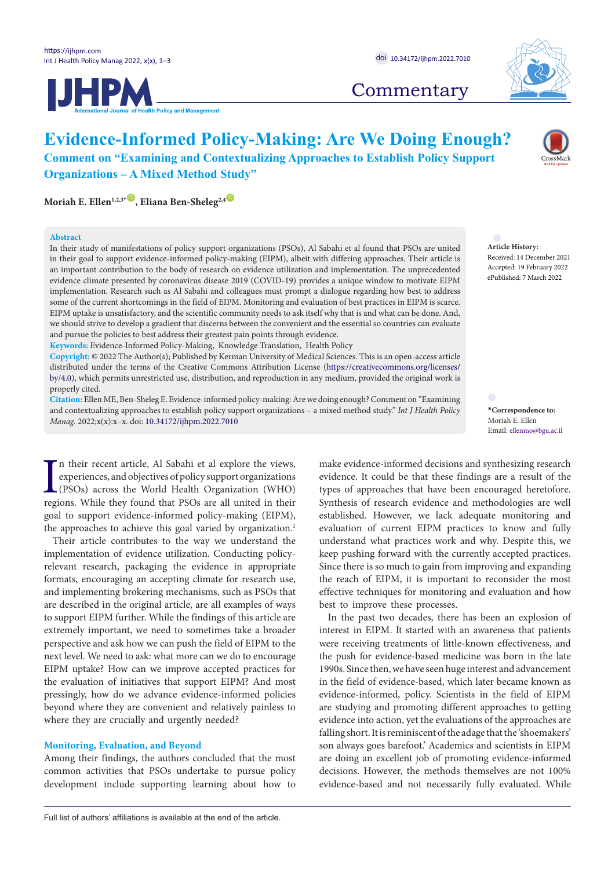

## **Commentary**

# **JHPM**

**Evidence-Informed Policy-Making: Are We Doing Enough? Comment on "Examining and Contextualizing Approaches to Establish Policy Support Organizations – A Mixed Method Study"**



**Moriah E. Ellen<sup>1,2,3</sub><sup>[\\*](#page-0-0)</sup> D. Eliana Ben-Sheleg<sup>2,4</sup> D.**</sup>

#### **Abstract**

In their study of manifestations of policy support organizations (PSOs), Al Sabahi et al found that PSOs are united in their goal to support evidence-informed policy-making (EIPM), albeit with differing approaches. Their article is an important contribution to the body of research on evidence utilization and implementation. The unprecedented evidence climate presented by coronavirus disease 2019 (COVID-19) provides a unique window to motivate EIPM implementation. Research such as Al Sabahi and colleagues must prompt a dialogue regarding how best to address some of the current shortcomings in the field of EIPM. Monitoring and evaluation of best practices in EIPM is scarce. EIPM uptake is unsatisfactory, and the scientific community needs to ask itself why that is and what can be done. And, we should strive to develop a gradient that discerns between the convenient and the essential so countries can evaluate and pursue the policies to best address their greatest pain points through evidence.

**Keywords:** Evidence-Informed Policy-Making, Knowledge Translation, Health Policy

**Copyright:** © 2022 The Author(s); Published by Kerman University of Medical Sciences. This is an open-access article distributed under the terms of the Creative Commons Attribution License [\(https://creativecommons.org/licenses/](https://creativecommons.org/licenses/by/4.0/) [by/4.0](https://creativecommons.org/licenses/by/4.0/)), which permits unrestricted use, distribution, and reproduction in any medium, provided the original work is properly cited.

**Citation:** Ellen ME, Ben-Sheleg E. Evidence-informed policy-making: Are we doing enough? Comment on "Examining and contextualizing approaches to establish policy support organizations – a mixed method study." *Int J Health Policy Manag.* 2022;x(x):x–x. doi: [10.34172/ijhpm.2022.7010](https://doi.org/10.34172/ijhpm.2022.7010)

I<sub>regi</sub> n their recent article, Al Sabahi et al explore the views, experiences, and objectives of policy support organizations (PSOs) across the World Health Organization (WHO) regions. While they found that PSOs are all united in their goal to support evidence-informed policy-making (EIPM), the approaches to achieve this goal varied by organization.<sup>1</sup>

Their article contributes to the way we understand the implementation of evidence utilization. Conducting policyrelevant research, packaging the evidence in appropriate formats, encouraging an accepting climate for research use, and implementing brokering mechanisms, such as PSOs that are described in the original article, are all examples of ways to support EIPM further. While the findings of this article are extremely important, we need to sometimes take a broader perspective and ask how we can push the field of EIPM to the next level. We need to ask: what more can we do to encourage EIPM uptake? How can we improve accepted practices for the evaluation of initiatives that support EIPM? And most pressingly, how do we advance evidence-informed policies beyond where they are convenient and relatively painless to where they are crucially and urgently needed?

## **Monitoring, Evaluation, and Beyond**

Among their findings, the authors concluded that the most common activities that PSOs undertake to pursue policy development include supporting learning about how to make evidence-informed decisions and synthesizing research evidence. It could be that these findings are a result of the types of approaches that have been encouraged heretofore. Synthesis of research evidence and methodologies are well established. However, we lack adequate monitoring and evaluation of current EIPM practices to know and fully understand what practices work and why. Despite this, we keep pushing forward with the currently accepted practices. Since there is so much to gain from improving and expanding the reach of EIPM, it is important to reconsider the most effective techniques for monitoring and evaluation and how best to improve these processes.

In the past two decades, there has been an explosion of interest in EIPM. It started with an awareness that patients were receiving treatments of little-known effectiveness, and the push for evidence-based medicine was born in the late 1990s. Since then, we have seen huge interest and advancement in the field of evidence-based, which later became known as evidence-informed, policy. Scientists in the field of EIPM are studying and promoting different approaches to getting evidence into action, yet the evaluations of the approaches are falling short. It is reminiscent of the adage that the 'shoemakers' son always goes barefoot.' Academics and scientists in EIPM are doing an excellent job of promoting evidence-informed decisions. However, the methods themselves are not 100% evidence-based and not necessarily fully evaluated. While

**Article History:** Received: 14 December 2021 Accepted: 19 February 2022 ePublished: 7 March 2022

<span id="page-0-0"></span>**\*Correspondence to:** Moriah E. Ellen Email: ellenmo@bgu.ac.il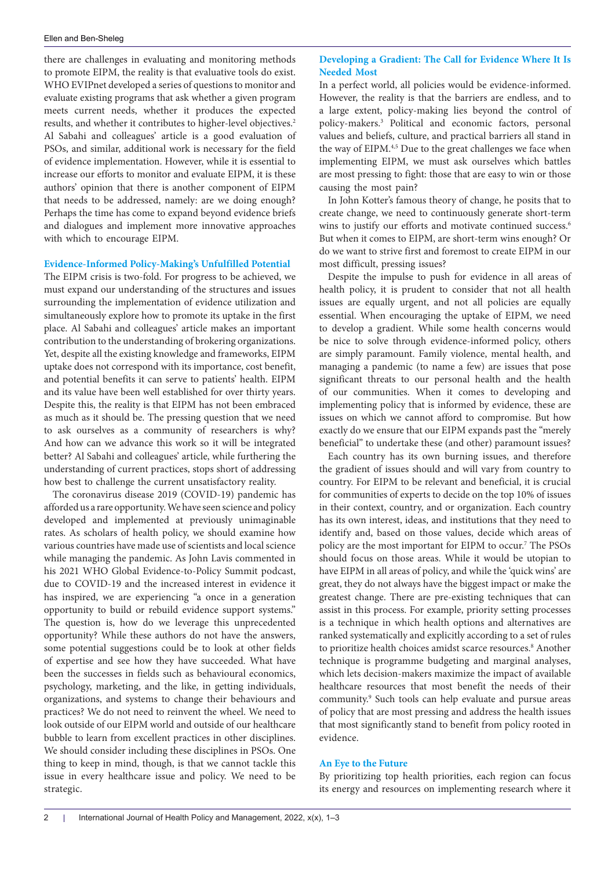there are challenges in evaluating and monitoring methods to promote EIPM, the reality is that evaluative tools do exist. WHO EVIPnet developed a series of questions to monitor and evaluate existing programs that ask whether a given program meets current needs, whether it produces the expected results, and whether it contributes to higher-level objectives. 2 Al Sabahi and colleagues' article is a good evaluation of PSOs, and similar, additional work is necessary for the field of evidence implementation. However, while it is essential to increase our efforts to monitor and evaluate EIPM, it is these authors' opinion that there is another component of EIPM that needs to be addressed, namely: are we doing enough? Perhaps the time has come to expand beyond evidence briefs and dialogues and implement more innovative approaches with which to encourage EIPM.

## **Evidence-Informed Policy-Making's Unfulfilled Potential**

The EIPM crisis is two-fold. For progress to be achieved, we must expand our understanding of the structures and issues surrounding the implementation of evidence utilization and simultaneously explore how to promote its uptake in the first place. Al Sabahi and colleagues' article makes an important contribution to the understanding of brokering organizations. Yet, despite all the existing knowledge and frameworks, EIPM uptake does not correspond with its importance, cost benefit, and potential benefits it can serve to patients' health. EIPM and its value have been well established for over thirty years. Despite this, the reality is that EIPM has not been embraced as much as it should be. The pressing question that we need to ask ourselves as a community of researchers is why? And how can we advance this work so it will be integrated better? Al Sabahi and colleagues' article, while furthering the understanding of current practices, stops short of addressing how best to challenge the current unsatisfactory reality.

The coronavirus disease 2019 (COVID-19) pandemic has afforded us a rare opportunity. We have seen science and policy developed and implemented at previously unimaginable rates. As scholars of health policy, we should examine how various countries have made use of scientists and local science while managing the pandemic. As John Lavis commented in his 2021 WHO Global Evidence-to-Policy Summit podcast, due to COVID-19 and the increased interest in evidence it has inspired, we are experiencing "a once in a generation opportunity to build or rebuild evidence support systems." The question is, how do we leverage this unprecedented opportunity? While these authors do not have the answers, some potential suggestions could be to look at other fields of expertise and see how they have succeeded. What have been the successes in fields such as behavioural economics, psychology, marketing, and the like, in getting individuals, organizations, and systems to change their behaviours and practices? We do not need to reinvent the wheel. We need to look outside of our EIPM world and outside of our healthcare bubble to learn from excellent practices in other disciplines. We should consider including these disciplines in PSOs. One thing to keep in mind, though, is that we cannot tackle this issue in every healthcare issue and policy. We need to be strategic.

## **Developing a Gradient: The Call for Evidence Where It Is Needed Most**

In a perfect world, all policies would be evidence-informed. However, the reality is that the barriers are endless, and to a large extent, policy-making lies beyond the control of policy-makers. <sup>3</sup> Political and economic factors, personal values and beliefs, culture, and practical barriers all stand in the way of EIPM.<sup>4,5</sup> Due to the great challenges we face when implementing EIPM, we must ask ourselves which battles are most pressing to fight: those that are easy to win or those causing the most pain?

In John Kotter's famous theory of change, he posits that to create change, we need to continuously generate short-term wins to justify our efforts and motivate continued success.<sup>6</sup> But when it comes to EIPM, are short-term wins enough? Or do we want to strive first and foremost to create EIPM in our most difficult, pressing issues?

Despite the impulse to push for evidence in all areas of health policy, it is prudent to consider that not all health issues are equally urgent, and not all policies are equally essential. When encouraging the uptake of EIPM, we need to develop a gradient. While some health concerns would be nice to solve through evidence-informed policy, others are simply paramount. Family violence, mental health, and managing a pandemic (to name a few) are issues that pose significant threats to our personal health and the health of our communities. When it comes to developing and implementing policy that is informed by evidence, these are issues on which we cannot afford to compromise. But how exactly do we ensure that our EIPM expands past the "merely beneficial" to undertake these (and other) paramount issues?

Each country has its own burning issues, and therefore the gradient of issues should and will vary from country to country. For EIPM to be relevant and beneficial, it is crucial for communities of experts to decide on the top 10% of issues in their context, country, and or organization. Each country has its own interest, ideas, and institutions that they need to identify and, based on those values, decide which areas of policy are the most important for EIPM to occur. <sup>7</sup> The PSOs should focus on those areas. While it would be utopian to have EIPM in all areas of policy, and while the 'quick wins' are great, they do not always have the biggest impact or make the greatest change. There are pre-existing techniques that can assist in this process. For example, priority setting processes is a technique in which health options and alternatives are ranked systematically and explicitly according to a set of rules to prioritize health choices amidst scarce resources. <sup>8</sup> Another technique is programme budgeting and marginal analyses, which lets decision-makers maximize the impact of available healthcare resources that most benefit the needs of their community. <sup>9</sup> Such tools can help evaluate and pursue areas of policy that are most pressing and address the health issues that most significantly stand to benefit from policy rooted in evidence.

## **An Eye to the Future**

By prioritizing top health priorities, each region can focus its energy and resources on implementing research where it